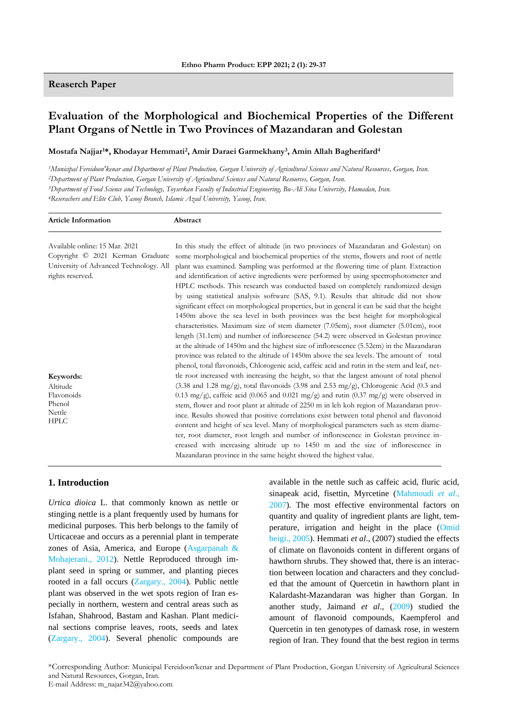# **Reaserch Paper**

**Article Information Abstract**

# **Evaluation of the Morphological and Biochemical Properties of the Different Plant Organs of Nettle in Two Provinces of Mazandaran and Golestan**

**Mostafa Najjar1\*, Khodayar Hemmati<sup>2</sup> , Amir Daraei Garmekhany<sup>3</sup> , Amin Allah Bagherifard<sup>4</sup>**

*Municipal Fereidoon'kenar and Department of Plant Production, Gorgan University of Agricultural Sciences and Natural Resources, Gorgan, Iran. Department of Plant Production, Gorgan University of Agricultural Sciences and Natural Resources, Gorgan, Iran. Department of Food Science and Technology, Toyserkan Faculty of Industrial Engineering, Bu-Ali Sina University, Hamadan, Iran. Reserachers and Elite Club, Yasooj Branch, Islamic Azad University, Yasooj, Iran.*

| Available online: 15 Mar. 2021<br>Copyright © 2021 Kerman Graduate<br>University of Advanced Technology. All<br>rights reserved. | In this study the effect of altitude (in two provinces of Mazandaran and Golestan) on<br>some morphological and biochemical properties of the stems, flowers and root of nettle<br>plant was examined. Sampling was performed at the flowering time of plant. Extraction<br>and identification of active ingredients were performed by using spectrophotometer and<br>HPLC methods. This research was conducted based on completely randomized design<br>by using statistical analysis software (SAS, 9.1). Results that altitude did not show<br>significant effect on morphological properties, but in general it can be said that the height<br>1450m above the sea level in both provinces was the best height for morphological<br>characteristics. Maximum size of stem diameter (7.05cm), root diameter (5.01cm), root<br>length (31.1cm) and number of inflorescence (54.2) were observed in Golestan province<br>at the altitude of 1450m and the highest size of inflorescence (5.52cm) in the Mazandaran                                                           |  |  |  |
|----------------------------------------------------------------------------------------------------------------------------------|-------------------------------------------------------------------------------------------------------------------------------------------------------------------------------------------------------------------------------------------------------------------------------------------------------------------------------------------------------------------------------------------------------------------------------------------------------------------------------------------------------------------------------------------------------------------------------------------------------------------------------------------------------------------------------------------------------------------------------------------------------------------------------------------------------------------------------------------------------------------------------------------------------------------------------------------------------------------------------------------------------------------------------------------------------------------------------|--|--|--|
| Keywords:<br>Altitude<br>Flavonoids<br>Phenol<br>Nettle<br><b>HPLC</b>                                                           | province was related to the altitude of 1450m above the sea levels. The amount of total<br>phenol, total flavonoids, Chlorogenic acid, caffeic acid and rutin in the stem and leaf, net-<br>tle root increased with increasing the height, so that the largest amount of total phenol<br>$(3.38 \text{ and } 1.28 \text{ mg/g})$ , total flavonoids $(3.98 \text{ and } 2.53 \text{ mg/g})$ , Chlorogenic Acid $(0.3 \text{ and } 1.28 \text{ mg/g})$<br>0.13 mg/g), caffeic acid (0.065 and 0.021 mg/g) and rutin (0.37 mg/g) were observed in<br>stem, flower and root plant at altitude of 2250 m in leh koh region of Mazandaran prov-<br>ince. Results showed that positive correlations exist between total phenol and flavonoid<br>content and height of sea level. Many of morphological parameters such as stem diame-<br>ter, root diameter, root length and number of inflorescence in Golestan province in-<br>creased with increasing altitude up to 1450 m and the size of inflorescence in<br>Mazandaran province in the same height showed the highest value. |  |  |  |

# **1. Introduction**

*Urtica dioica* L. that commonly known as nettle or stinging nettle is a plant frequently used by humans for medicinal purposes. This herb belongs to the family of Urticaceae and occurs as a perennial plant in temperate zones of Asia, America, and Europe (Asgarpanah & Mohajerani., 2012). Nettle Reproduced through implant seed in spring or summer, and planting pieces rooted in a fall occurs (Zargary., 2004). Public nettle plant was observed in the wet spots region of Iran especially in northern, western and central areas such as Isfahan, Shahrood, Bastam and Kashan. Plant medicinal sections comprise leaves, roots, seeds and latex (Zargary., 2004). Several phenolic compounds are

available in the nettle such as caffeic acid, fluric acid, sinapeak acid, fisettin, Myrcetine (Mahmoudi *et al*., 2007). The most effective environmental factors on quantity and quality of ingredient plants are light, temperature, irrigation and height in the place (Omid beigi., 2005). Hemmati *et al*., (2007) studied the effects of climate on flavonoids content in different organs of hawthorn shrubs. They showed that, there is an interaction between location and characters and they concluded that the amount of Quercetin in hawthorn plant in Kalardasht-Mazandaran was higher than Gorgan. In another study, Jaimand *et al*., (2009) studied the amount of flavonoid compounds, Kaempferol and Quercetin in ten genotypes of damask rose, in western region of Iran. They found that the best region in terms

\*Corresponding Author: Municipal Fereidoon'kenar and Department of Plant Production, Gorgan University of Agricultural Sciences and Natural Resources, Gorgan, Iran. E-mail Address: m\_najar342@yahoo.com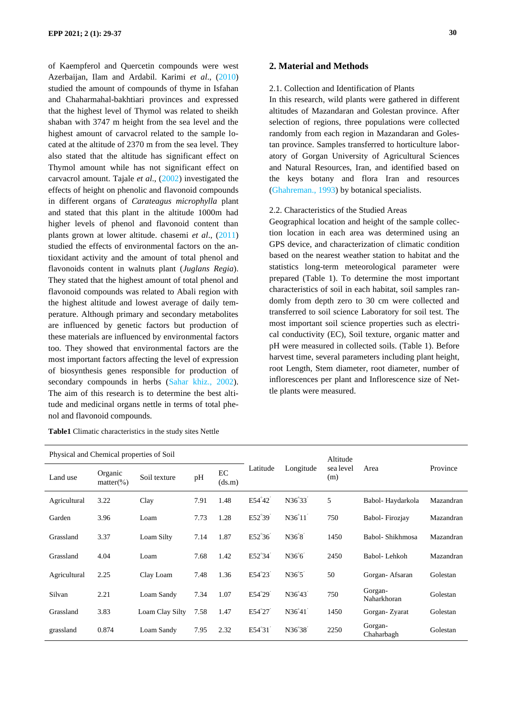of Kaempferol and Quercetin compounds were west Azerbaijan, Ilam and Ardabil. Karimi *et al*., (2010) studied the amount of compounds of thyme in Isfahan and Chaharmahal-bakhtiari provinces and expressed that the highest level of Thymol was related to sheikh shaban with 3747 m height from the sea level and the highest amount of carvacrol related to the sample located at the altitude of 2370 m from the sea level. They also stated that the altitude has significant effect on Thymol amount while has not significant effect on carvacrol amount. Tajale *et al*., (2002) investigated the effects of height on phenolic and flavonoid compounds in different organs of *Carateagus microphylla* plant and stated that this plant in the altitude 1000m had higher levels of phenol and flavonoid content than plants grown at lower altitude. chasemi *et al*., (2011) studied the effects of environmental factors on the antioxidant activity and the amount of total phenol and flavonoids content in walnuts plant (*Juglans Regia*). They stated that the highest amount of total phenol and flavonoid compounds was related to Abali region with the highest altitude and lowest average of daily temperature. Although primary and secondary metabolites are influenced by genetic factors but production of these materials are influenced by environmental factors too. They showed that environmental factors are the most important factors affecting the level of expression of biosynthesis genes responsible for production of secondary compounds in herbs (Sahar khiz., 2002). The aim of this research is to determine the best altitude and medicinal organs nettle in terms of total phenol and flavonoid compounds.

|  |  | <b>Table1</b> Climatic characteristics in the study sites Nettle |  |  |  |  |
|--|--|------------------------------------------------------------------|--|--|--|--|
|--|--|------------------------------------------------------------------|--|--|--|--|

# **2. Material and Methods**

# 2.1. Collection and Identification of Plants

In this research, wild plants were gathered in different altitudes of Mazandaran and Golestan province. After selection of regions, three populations were collected randomly from each region in Mazandaran and Golestan province. Samples transferred to horticulture laboratory of Gorgan University of Agricultural Sciences and Natural Resources, Iran, and identified based on the keys botany and flora Iran and resources (Ghahreman., 1993) by botanical specialists.

#### 2.2. Characteristics of the Studied Areas

Geographical location and height of the sample collection location in each area was determined using an GPS device, and characterization of climatic condition based on the nearest weather station to habitat and the statistics long-term meteorological parameter were prepared (Table 1). To determine the most important characteristics of soil in each habitat, soil samples randomly from depth zero to 30 cm were collected and transferred to soil science Laboratory for soil test. The most important soil science properties such as electrical conductivity (EC), Soil texture, organic matter and pH were measured in collected soils. (Table 1). Before harvest time, several parameters including plant height, root Length, Stem diameter, root diameter, number of inflorescences per plant and Inflorescence size of Nettle plants were measured.

| Physical and Chemical properties of Soil |                         |                 |      |              |                       |                                 | Altitude         |                        |           |  |
|------------------------------------------|-------------------------|-----------------|------|--------------|-----------------------|---------------------------------|------------------|------------------------|-----------|--|
| Land use                                 | Organic<br>$matter$ (%) | Soil texture    | pH   | EC<br>(ds.m) | Latitude<br>Longitude |                                 | sea level<br>(m) | Area                   | Province  |  |
| Agricultural                             | 3.22                    | Clay            | 7.91 | 1.48         | E54°42                | N36°33'                         | 5                | Babol-Haydarkola       | Mazandran |  |
| Garden                                   | 3.96                    | Loam            | 7.73 | 1.28         | E52°39 <sup>'</sup>   | N36°11'                         | 750              | Babol-Firozjay         | Mazandran |  |
| Grassland                                | 3.37                    | Loam Silty      | 7.14 | 1.87         | E52°36'               | N36°8'                          | 1450             | Babol-Shikhmosa        | Mazandran |  |
| Grassland                                | 4.04                    | Loam            | 7.68 | 1.42         | E52°34                | N36 <sup>°</sup> 6 <sup>°</sup> | 2450             | Babol-Lehkoh           | Mazandran |  |
| Agricultural                             | 2.25                    | Clay Loam       | 7.48 | 1.36         | E54°23'               | $N36^{\circ}5$                  | 50               | Gorgan-Afsaran         | Golestan  |  |
| Silvan                                   | 2.21                    | Loam Sandy      | 7.34 | 1.07         | E54°29'               | N36°43'                         | 750              | Gorgan-<br>Naharkhoran | Golestan  |  |
| Grassland                                | 3.83                    | Loam Clay Silty | 7.58 | 1.47         | E54°27'               | N36°41'                         | 1450             | Gorgan-Zyarat          | Golestan  |  |
| grassland                                | 0.874                   | Loam Sandy      | 7.95 | 2.32         | E54°31'               | N36°38'                         | 2250             | Gorgan-<br>Chaharbagh  | Golestan  |  |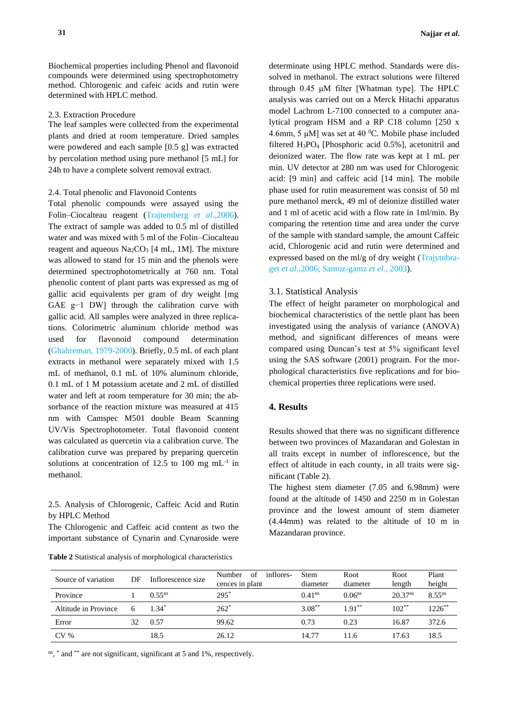Biochemical properties including Phenol and flavonoid compounds were determined using spectrophotometry method. Chlorogenic and cafeic acids and rutin were determined with HPLC method.

#### 2.3. Extraction Procedure

The leaf samples were collected from the experimental plants and dried at room temperature. Dried samples were powdered and each sample [0.5 g] was extracted by percolation method using pure methanol [5 mL] for 24h to have a complete solvent removal extract.

#### 2.4. Total phenolic and Flavonoid Contents

Total phenolic compounds were assayed using the Folin–Ciocalteau reagent (Trajtemberg *et al*.,2006). The extract of sample was added to 0.5 ml of distilled water and was mixed with 5 ml of the Folin–Ciocalteau reagent and aqueous  $Na<sub>2</sub>CO<sub>3</sub>$  [4 mL, 1M]. The mixture was allowed to stand for 15 min and the phenols were determined spectrophotometrically at 760 nm. Total phenolic content of plant parts was expressed as mg of gallic acid equivalents per gram of dry weight [mg GAE g−1 DW] through the calibration curve with gallic acid. All samples were analyzed in three replications. Colorimetric aluminum chloride method was used for flavonoid compound determination (Ghahreman, 1979-2000). Briefly, 0.5 mL of each plant extracts in methanol were separately mixed with 1.5 mL of methanol, 0.1 mL of 10% aluminum chloride, 0.1 mL of 1 M potassium acetate and 2 mL of distilled water and left at room temperature for 30 min; the absorbance of the reaction mixture was measured at 415 nm with Camspec M501 double Beam Scanning UV/Vis Spectrophotometer. Total flavonoid content was calculated as quercetin via a calibration curve. The calibration curve was prepared by preparing quercetin solutions at concentration of 12.5 to 100 mg mL<sup>-1</sup> in methanol.

2.5. Analysis of Chlorogenic, Caffeic Acid and Rutin by HPLC Method

The Chlorogenic and Caffeic acid content as two the important substance of Cynarin and Cynaroside were

| Table 2 Statistical analysis of morphological characteristics |  |  |
|---------------------------------------------------------------|--|--|
|---------------------------------------------------------------|--|--|

determinate using HPLC method. Standards were dissolved in methanol. The extract solutions were filtered through 0.45 μM filter [Whatman type]. The HPLC analysis was carried out on a Merck Hitachi apparatus model Lachrom L-7100 connected to a computer analytical program HSM and a RP C18 column [250 x 4.6mm, 5  $\mu$ M] was set at 40 <sup>o</sup>C. Mobile phase included filtered H3PO<sup>4</sup> [Phosphoric acid 0.5%], acetonitril and deionized water. The flow rate was kept at 1 mL per min. UV detector at 280 nm was used for Chlorogenic acid: [9 min] and caffeic acid [14 min]. The mobile phase used for rutin measurement was consist of 50 ml pure methanol merck, 49 ml of deionize distilled water and 1 ml of acetic acid with a flow rate in 1ml/min. By comparing the retention time and area under the curve of the sample with standard sample, the amount Caffeic acid, Chlorogenic acid and rutin were determined and expressed based on the ml/g of dry weight (Trajytnbraget *et al*.,2006; Santoz-gamz *et el.,* 2003).

#### 3.1. Statistical Analysis

The effect of height parameter on morphological and biochemical characteristics of the nettle plant has been investigated using the analysis of variance (ANOVA) method, and significant differences of means were compared using Duncan's test at 5% significant level using the SAS software (2001) program. For the morphological characteristics five replications and for biochemical properties three replications were used.

# **4. Results**

Results showed that there was no significant difference between two provinces of Mazandaran and Golestan in all traits except in number of inflorescence, but the effect of altitude in each county, in all traits were significant (Table 2).

The highest stem diameter (7.05 and 6.98mm) were found at the altitude of 1450 and 2250 m in Golestan province and the lowest amount of stem diameter (4.44mm) was related to the altitude of 10 m in Mazandaran province.

| Source of variation  | DF | Inflorescence size | inflores-<br>of<br>Number<br>cences in plant | <b>Stem</b><br>diameter | Root<br>diameter   | Root<br>length        | Plant<br>height |
|----------------------|----|--------------------|----------------------------------------------|-------------------------|--------------------|-----------------------|-----------------|
| Province             |    | $0.55^{ns}$        | $295*$                                       | 0.41 <sup>ns</sup>      | 0.06 <sup>ns</sup> | $20.37$ <sup>ns</sup> | $8.55^{ns}$     |
| Altitude in Province | 6  | $1.34*$            | $262*$                                       | $3.08***$               | $1.91**$           | $102***$              | $1226$ **       |
| Error                | 32 | 0.57               | 99.62                                        | 0.73                    | 0.23               | 16.87                 | 372.6           |
| CV <sub>0</sub>      |    | 18.5               | 26.12                                        | 14.77                   | 11.6               | 17.63                 | 18.5            |

ns, \* and \*\* are not significant, significant at 5 and 1%, respectively.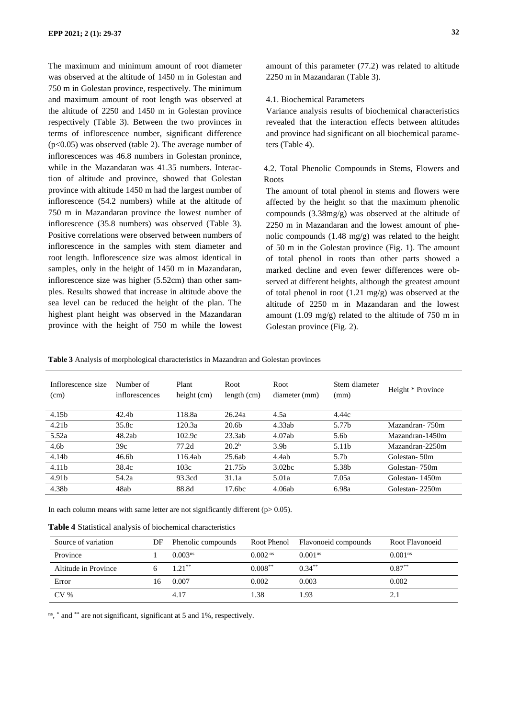The maximum and minimum amount of root diameter was observed at the altitude of 1450 m in Golestan and 750 m in Golestan province, respectively. The minimum and maximum amount of root length was observed at the altitude of 2250 and 1450 m in Golestan province respectively (Table 3). Between the two provinces in terms of inflorescence number, significant difference (p<0.05) was observed (table 2). The average number of inflorescences was 46.8 numbers in Golestan pronince, while in the Mazandaran was 41.35 numbers. Interaction of altitude and province, showed that Golestan province with altitude 1450 m had the largest number of inflorescence (54.2 numbers) while at the altitude of 750 m in Mazandaran province the lowest number of inflorescence (35.8 numbers) was observed (Table 3). Positive correlations were observed between numbers of inflorescence in the samples with stem diameter and root length. Inflorescence size was almost identical in samples, only in the height of 1450 m in Mazandaran, inflorescence size was higher (5.52cm) than other samples. Results showed that increase in altitude above the sea level can be reduced the height of the plan. The highest plant height was observed in the Mazandaran province with the height of 750 m while the lowest amount of this parameter (77.2) was related to altitude 2250 m in Mazandaran (Table 3).

# 4.1. Biochemical Parameters

Variance analysis results of biochemical characteristics revealed that the interaction effects between altitudes and province had significant on all biochemical parameters (Table 4).

# 4.2. Total Phenolic Compounds in Stems, Flowers and Roots

The amount of total phenol in stems and flowers were affected by the height so that the maximum phenolic compounds (3.38mg/g) was observed at the altitude of 2250 m in Mazandaran and the lowest amount of phenolic compounds (1.48 mg/g) was related to the height of 50 m in the Golestan province (Fig. 1). The amount of total phenol in roots than other parts showed a marked decline and even fewer differences were observed at different heights, although the greatest amount of total phenol in root (1.21 mg/g) was observed at the altitude of 2250 m in Mazandaran and the lowest amount (1.09 mg/g) related to the altitude of 750 m in Golestan province (Fig. 2).

**Table 3** Analysis of morphological characteristics in Mazandran and Golestan provinces

| Inflorescence size<br>(cm) | Number of<br>inflorescences | Plant<br>height (cm) | Root<br>length $(cm)$ | Root<br>diameter (mm) | Stem diameter<br>(mm) | Height * Province |
|----------------------------|-----------------------------|----------------------|-----------------------|-----------------------|-----------------------|-------------------|
| 4.15b                      | 42.4 <sub>b</sub>           | 118.8a               | 26.24a                | 4.5a                  | 4.44c                 |                   |
| 4.21 <sub>b</sub>          | 35.8c                       | 120.3a               | 20.6 <sub>b</sub>     | 4.33ab                | 5.77 <sub>b</sub>     | Mazandran-750m    |
| 5.52a                      | 48.2ab                      | 102.9c               | 23.3ab                | 4.07ab                | 5.6 <sub>b</sub>      | Mazandran-1450m   |
| 4.6 <sub>b</sub>           | 39c                         | 77.2d                | 20.2 <sup>b</sup>     | 3.9 <sub>b</sub>      | 5.11 <sub>b</sub>     | Mazandran-2250m   |
| 4.14b                      | 46.6 <sub>b</sub>           | 116.4ab              | 25.6ab                | 4.4ab                 | 5.7 <sub>b</sub>      | Golestan-50m      |
| 4.11 <sub>b</sub>          | 38.4c                       | 103c                 | 21.75 <sub>h</sub>    | 3.02 <sub>bc</sub>    | 5.38b                 | Golestan- 750m    |
| 4.91b                      | 54.2a                       | 93.3cd               | 31.1a                 | 5.01a                 | 7.05a                 | Golestan-1450m    |
| 4.38b                      | 48ab                        | 88.8d                | 17.6 <sub>bc</sub>    | 4.06ab                | 6.98a                 | Golestan-2250m    |

In each column means with same letter are not significantly different ( $p > 0.05$ ).

| Table 4 Statistical analysis of biochemical characteristics |  |  |  |
|-------------------------------------------------------------|--|--|--|
|-------------------------------------------------------------|--|--|--|

| Source of variation  | DF | Phenolic compounds  |                       | Root Phenol Flavonoeid compounds | Root Flavonoeid     |
|----------------------|----|---------------------|-----------------------|----------------------------------|---------------------|
| Province             |    | 0.003 <sup>ns</sup> | $0.002$ <sup>ns</sup> | 0.001 <sup>ns</sup>              | 0.001 <sup>ns</sup> |
| Altitude in Province |    | $1.21***$           | $0.008***$            | $0.34***$                        | $0.87***$           |
| Error                | I6 | 0.007               | 0.002                 | 0.003                            | 0.002               |
| CV <sub>%</sub>      |    | 4.17                | 1.38                  | 1.93                             |                     |

ns, \* and \*\* are not significant, significant at 5 and 1%, respectively.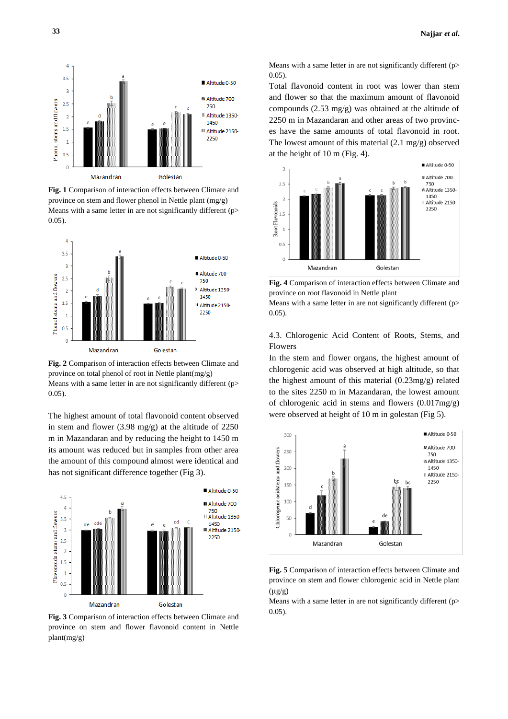

**Fig. 1** Comparison of interaction effects between Climate and province on stem and flower phenol in Nettle plant (mg/g) Means with a same letter in are not significantly different (p> 0.05).



**Fig. 2** Comparison of interaction effects between Climate and province on total phenol of root in Nettle plant(mg/g) Means with a same letter in are not significantly different (p> 0.05).

The highest amount of total flavonoid content observed in stem and flower (3.98 mg/g) at the altitude of 2250 m in Mazandaran and by reducing the height to 1450 m its amount was reduced but in samples from other area the amount of this compound almost were identical and has not significant difference together (Fig 3).



**Fig. 3** Comparison of interaction effects between Climate and province on stem and flower flavonoid content in Nettle plant(mg/g)

Means with a same letter in are not significantly different (p> 0.05).

Total flavonoid content in root was lower than stem and flower so that the maximum amount of flavonoid compounds (2.53 mg/g) was obtained at the altitude of 2250 m in Mazandaran and other areas of two provinces have the same amounts of total flavonoid in root. The lowest amount of this material (2.1 mg/g) observed at the height of 10 m (Fig. 4).



**Fig. 4** Comparison of interaction effects between Climate and province on root flavonoid in Nettle plant

Means with a same letter in are not significantly different (p> 0.05).

4.3. Chlorogenic Acid Content of Roots, Stems, and Flowers

In the stem and flower organs, the highest amount of chlorogenic acid was observed at high altitude, so that the highest amount of this material (0.23mg/g) related to the sites 2250 m in Mazandaran, the lowest amount of chlorogenic acid in stems and flowers (0.017mg/g) were observed at height of 10 m in golestan (Fig 5).



**Fig. 5** Comparison of interaction effects between Climate and province on stem and flower chlorogenic acid in Nettle plant  $(\mu g/g)$ 

Means with a same letter in are not significantly different (p> 0.05).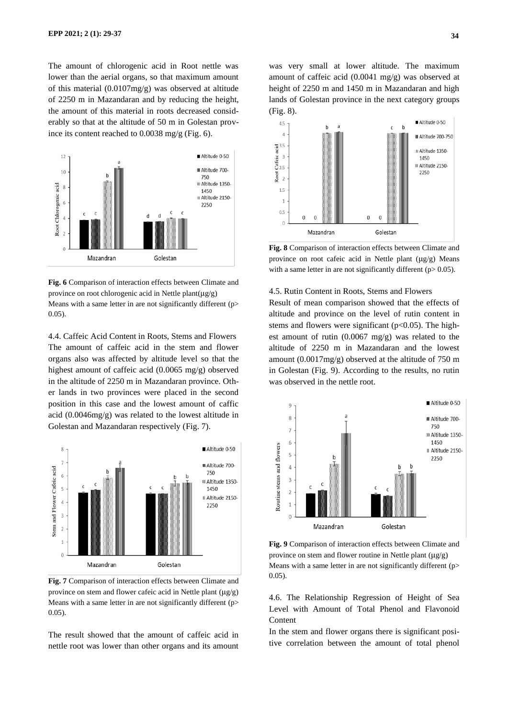The amount of chlorogenic acid in Root nettle was lower than the aerial organs, so that maximum amount of this material (0.0107mg/g) was observed at altitude of 2250 m in Mazandaran and by reducing the height, the amount of this material in roots decreased considerably so that at the altitude of 50 m in Golestan province its content reached to 0.0038 mg/g (Fig. 6).



**Fig. 6** Comparison of interaction effects between Climate and province on root chlorogenic acid in Nettle plant(μg/g) Means with a same letter in are not significantly different (p> 0.05).

4.4. Caffeic Acid Content in Roots, Stems and Flowers The amount of caffeic acid in the stem and flower organs also was affected by altitude level so that the highest amount of caffeic acid (0.0065 mg/g) observed in the altitude of 2250 m in Mazandaran province. Other lands in two provinces were placed in the second position in this case and the lowest amount of caffic acid (0.0046mg/g) was related to the lowest altitude in Golestan and Mazandaran respectively (Fig. 7).



**Fig. 7** Comparison of interaction effects between Climate and province on stem and flower cafeic acid in Nettle plant (μg/g) Means with a same letter in are not significantly different (p> 0.05).

The result showed that the amount of caffeic acid in nettle root was lower than other organs and its amount

was very small at lower altitude. The maximum amount of caffeic acid (0.0041 mg/g) was observed at height of 2250 m and 1450 m in Mazandaran and high lands of Golestan province in the next category groups (Fig. 8).



**Fig. 8** Comparison of interaction effects between Climate and province on root cafeic acid in Nettle plant (μg/g) Means with a same letter in are not significantly different ( $p$  > 0.05).

4.5. Rutin Content in Roots, Stems and Flowers

Result of mean comparison showed that the effects of altitude and province on the level of rutin content in stems and flowers were significant ( $p<0.05$ ). The highest amount of rutin (0.0067 mg/g) was related to the altitude of 2250 m in Mazandaran and the lowest amount (0.0017mg/g) observed at the altitude of 750 m in Golestan (Fig. 9). According to the results, no rutin was observed in the nettle root.



**Fig. 9** Comparison of interaction effects between Climate and province on stem and flower routine in Nettle plant (μg/g) Means with a same letter in are not significantly different (p> 0.05).

4.6. The Relationship Regression of Height of Sea Level with Amount of Total Phenol and Flavonoid Content

In the stem and flower organs there is significant positive correlation between the amount of total phenol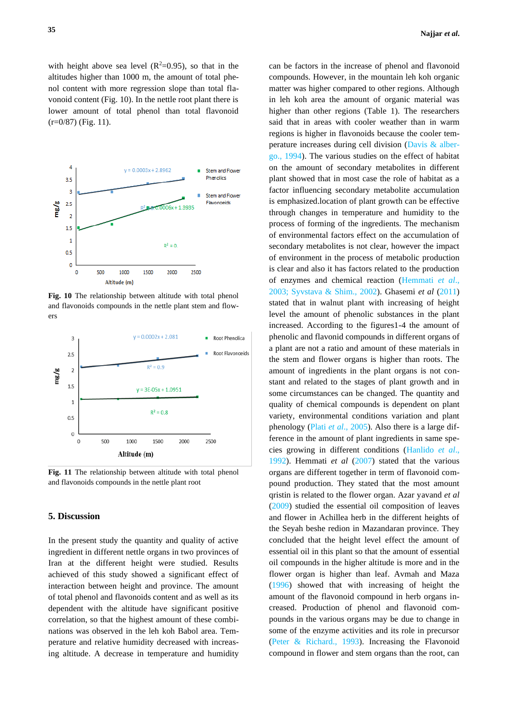with height above sea level  $(R^2=0.95)$ , so that in the altitudes higher than 1000 m, the amount of total phenol content with more regression slope than total flavonoid content (Fig. 10). In the nettle root plant there is lower amount of total phenol than total flavonoid  $(r=0/87)$  (Fig. 11).



**Fig. 10** The relationship between altitude with total phenol and flavonoids compounds in the nettle plant stem and flowers



**Fig. 11** The relationship between altitude with total phenol and flavonoids compounds in the nettle plant root

# **5. Discussion**

In the present study the quantity and quality of active ingredient in different nettle organs in two provinces of Iran at the different height were studied. Results achieved of this study showed a significant effect of interaction between height and province. The amount of total phenol and flavonoids content and as well as its dependent with the altitude have significant positive correlation, so that the highest amount of these combinations was observed in the leh koh Babol area. Temperature and relative humidity decreased with increasing altitude. A decrease in temperature and humidity

can be factors in the increase of phenol and flavonoid compounds. However, in the mountain leh koh organic matter was higher compared to other regions. Although in leh koh area the amount of organic material was higher than other regions (Table 1). The researchers said that in areas with cooler weather than in warm regions is higher in flavonoids because the cooler temperature increases during cell division (Davis & albergo., 1994). The various studies on the effect of habitat on the amount of secondary metabolites in different plant showed that in most case the role of habitat as a factor influencing secondary metabolite accumulation is emphasized.location of plant growth can be effective through changes in temperature and humidity to the process of forming of the ingredients. The mechanism of environmental factors effect on the accumulation of secondary metabolites is not clear, however the impact of environment in the process of metabolic production is clear and also it has factors related to the production of enzymes and chemical reaction (Hemmati *et al*., 2003; Syvstava & Shim., 2002). Ghasemi *et al* (2011) stated that in walnut plant with increasing of height level the amount of phenolic substances in the plant increased. According to the figures1-4 the amount of phenolic and flavonid compounds in different organs of a plant are not a ratio and amount of these materials in the stem and flower organs is higher than roots. The amount of ingredients in the plant organs is not constant and related to the stages of plant growth and in some circumstances can be changed. The quantity and quality of chemical compounds is dependent on plant variety, environmental conditions variation and plant phenology (Plati *et al*., 2005). Also there is a large difference in the amount of plant ingredients in same species growing in different conditions (Hanlido *et al*., 1992). Hemmati *et al* (2007) stated that the various organs are different together in term of flavonoid compound production. They stated that the most amount qristin is related to the flower organ. Azar yavand *et al* (2009) studied the essential oil composition of leaves and flower in Achillea herb in the different heights of the Seyah beshe redion in Mazandaran province. They concluded that the height level effect the amount of essential oil in this plant so that the amount of essential oil compounds in the higher altitude is more and in the flower organ is higher than leaf. Avmah and Maza (1996) showed that with increasing of height the amount of the flavonoid compound in herb organs increased. Production of phenol and flavonoid compounds in the various organs may be due to change in some of the enzyme activities and its role in precursor (Peter & Richard., 1993). Increasing the Flavonoid compound in flower and stem organs than the root, can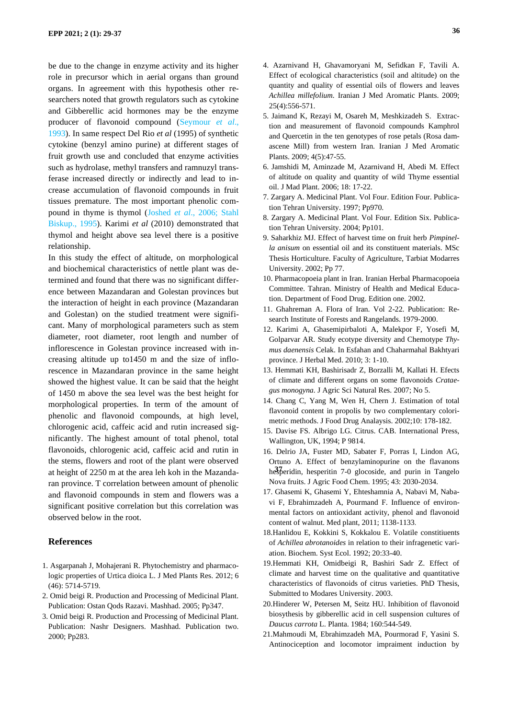be due to the change in enzyme activity and its higher role in precursor which in aerial organs than ground organs. In agreement with this hypothesis other researchers noted that growth regulators such as cytokine and Gibberellic acid hormones may be the enzyme producer of flavonoid compound (Seymour *et al*., 1993). In same respect Del Rio *et al* (1995) of synthetic cytokine (benzyl amino purine) at different stages of fruit growth use and concluded that enzyme activities such as hydrolase, methyl transfers and ramnuzyl transferase increased directly or indirectly and lead to increase accumulation of flavonoid compounds in fruit tissues premature. The most important phenolic compound in thyme is thymol (Joshed *et al*., 2006; Stahl Biskup., 1995). Karimi *et al* (2010) demonstrated that thymol and height above sea level there is a positive relationship.

In this study the effect of altitude, on morphological and biochemical characteristics of nettle plant was determined and found that there was no significant difference between Mazandaran and Golestan provinces but the interaction of height in each province (Mazandaran and Golestan) on the studied treatment were significant. Many of morphological parameters such as stem diameter, root diameter, root length and number of inflorescence in Golestan province increased with increasing altitude up to1450 m and the size of inflorescence in Mazandaran province in the same height showed the highest value. It can be said that the height of 1450 m above the sea level was the best height for morphological properties. In term of the amount of phenolic and flavonoid compounds, at high level, chlorogenic acid, caffeic acid and rutin increased significantly. The highest amount of total phenol, total flavonoids, chlorogenic acid, caffeic acid and rutin in the stems, flowers and root of the plant were observed at height of 2250 m at the area leh koh in the Mazandaran province. T correlation between amount of phenolic and flavonoid compounds in stem and flowers was a significant positive correlation but this correlation was observed below in the root.

# **References**

- 1. Asgarpanah J, Mohajerani R. Phytochemistry and pharmacologic properties of Urtica dioica L. J Med Plants Res. 2012; 6 (46): 5714-5719.
- 2. Omid beigi R. Production and Processing of Medicinal Plant. Publication: Ostan Qods Razavi. Mashhad. 2005; Pp347.
- 3. Omid beigi R. Production and Processing of Medicinal Plant. Publication: Nashr Designers. Mashhad. Publication two. 2000; Pp283.
- 4. Azarnivand H, Ghavamoryani M, Sefidkan F, Tavili A. Effect of ecological characteristics (soil and altitude) on the quantity and quality of essential oils of flowers and leaves *Achillea millefolium.* Iranian J Med Aromatic Plants. 2009; 25(4):556-571.
- 5. Jaimand K, Rezayi M, Osareh M, Meshkizadeh S. Extraction and measurement of flavonoid compounds Kamphrol and Quercetin in the ten genotypes of rose petals (Rosa damascene Mill) from western Iran. Iranian J Med Aromatic Plants. 2009; 4(5):47-55.
- 6. Jamshidi M, Aminzade M, Azarnivand H, Abedi M. Effect of altitude on quality and quantity of wild Thyme essential oil. J Mad Plant. 2006; 18: 17-22.
- 7. Zargary A. Medicinal Plant. Vol Four. Edition Four. Publication Tehran University. 1997; Pp970.
- 8. Zargary A. Medicinal Plant. Vol Four. Edition Six. Publication Tehran University. 2004; Pp101.
- 9. Saharkhiz MJ. Effect of harvest time on fruit herb *Pimpinella anisum* on essential oil and its constituent materials. MSc Thesis Horticulture. Faculty of Agriculture, Tarbiat Modarres University. 2002; Pp 77.
- 10. Pharmacopoeia plant in Iran. Iranian Herbal Pharmacopoeia Committee. Tahran. Ministry of Health and Medical Education. Department of Food Drug. Edition one. 2002.
- 11. Ghahreman A. Flora of Iran. Vol 2-22. Publication: Research Institute of Forests and Rangelands. 1979-2000.
- 12. Karimi A, Ghasemipirbaloti A, Malekpor F, Yosefi M, Golparvar AR. Study ecotype diversity and Chemotype *Thymus daenensis* Celak. In Esfahan and Chaharmahal Bakhtyari province. J Herbal Med. 2010; 3: 1-10.
- 13. Hemmati KH, Bashirisadr Z, Borzalli M, Kallati H. Efects of climate and different organs on some flavonoids *Crataegus monogyna.* J Agric Sci Natural Res. 2007; No 5.
- 14. Chang C, Yang M, Wen H, Chern J. Estimation of total flavonoid content in propolis by two complementary colorimetric methods. J Food Drug Analaysis. 2002;10: 178-182.
- 15. Davise FS. Albrigo LG. Citrus. CAB. International Press, Wallington, UK, 1994; P 9814.
- 16. Delrio JA, Fuster MD, Sabater F, Porras I, Lindon AG, Ortuno A. Effect of benzylaminopurine on the flavanons he<sup>3</sup>peridin, hesperitin 7-0 glocoside, and purin in Tangelo Nova fruits. J Agric Food Chem. 1995; 43: 2030-2034.
- 17. Ghasemi K, Ghasemi Y, Ehteshamnia A, Nabavi M, Nabavi F, Ebrahimzadeh A, Pourmand F. Influence of environmental factors on antioxidant activity, phenol and flavonoid content of walnut. Med plant, 2011; 1138-1133 .
- 18.Hanlidou E, Kokkini S, Kokkalou E. Volatile constitiuents of *Achillea abrotanoides* in relation to their infragenetic variation. Biochem. Syst Ecol. 1992; 20:33-40.
- 19.Hemmati KH, Omidbeigi R, Bashiri Sadr Z. Effect of climate and harvest time on the qualitative and quantitative characteristics of flavonoids of citrus varieties. PhD Thesis, Submitted to Modares University. 2003.
- 20.Hinderer W, Petersen M, Seitz HU. Inhibition of flavonoid biosythesis by gibberellic acid in cell suspension cultures of *Daucus carrota* L. Planta. 1984; 160:544-549.
- 21.Mahmoudi M, Ebrahimzadeh MA, Pourmorad F, Yasini S. Antinociception and locomotor impraiment induction by